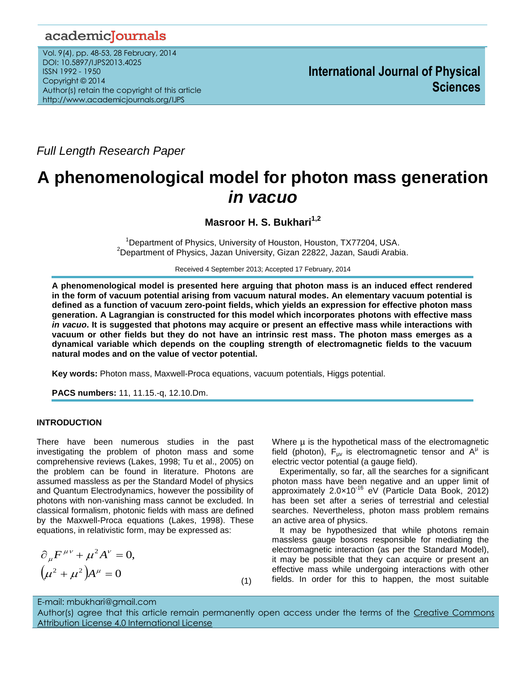# academicJournals

Vol. 9(4), pp. 48-53, 28 February, 2014 DOI: 10.5897/IJPS2013.4025 ISSN 1992 - 1950 Copyright © 2014 Author(s) retain the copyright of this article http://www.academicjournals.org/IJPS

*Full Length Research Paper*

# **A phenomenological model for photon mass generation**  *in vacuo*

**Masroor H. S. Bukhari1,2**

<sup>1</sup>Department of Physics, University of Houston, Houston, TX77204, USA. <sup>2</sup>Department of Physics, Jazan University, Gizan 22822, Jazan, Saudi Arabia.

Received 4 September 2013; Accepted 17 February, 2014

**A phenomenological model is presented here arguing that photon mass is an induced effect rendered in the form of vacuum potential arising from vacuum natural modes. An elementary vacuum potential is defined as a function of vacuum zero-point fields, which yields an expression for effective photon mass generation. A Lagrangian is constructed for this model which incorporates photons with effective mass**  *in vacuo***. It is suggested that photons may acquire or present an effective mass while interactions with vacuum or other fields but they do not have an intrinsic rest mass. The photon mass emerges as a dynamical variable which depends on the coupling strength of electromagnetic fields to the vacuum natural modes and on the value of vector potential.**

**Key words:** Photon mass, Maxwell-Proca equations, vacuum potentials, Higgs potential.

**PACS numbers:** 11, 11.15.-q, 12.10.Dm.

## **INTRODUCTION**

There have been numerous studies in the past investigating the problem of photon mass and some comprehensive reviews (Lakes, 1998; Tu et al., 2005) on the problem can be found in literature. Photons are assumed massless as per the Standard Model of physics and Quantum Electrodynamics, however the possibility of photons with non-vanishing mass cannot be excluded. In classical formalism, photonic fields with mass are defined by the Maxwell-Proca equations (Lakes, 1998). These equations, in relativistic form, may be expressed as:

$$
\partial_{\mu} F^{\mu\nu} + \mu^2 A^{\nu} = 0,
$$
  
\n
$$
(\mu^2 + \mu^2) A^{\mu} = 0
$$
\n(1)

Where  $\mu$  is the hypothetical mass of the electromagnetic field (photon),  $F_{\mu\nu}$  is electromagnetic tensor and  $A^{\mu}$  is electric vector potential (a gauge field).

Experimentally, so far, all the searches for a significant photon mass have been negative and an upper limit of approximately 2.0×10<sup>-16</sup> eV (Particle Data Book, 2012) has been set after a series of terrestrial and celestial searches. Nevertheless, photon mass problem remains an active area of physics.

It may be hypothesized that while photons remain massless gauge bosons responsible for mediating the electromagnetic interaction (as per the Standard Model), it may be possible that they can acquire or present an effective mass while undergoing interactions with other fields. In order for this to happen, the most suitable

E-mail: mbukhari@gmail.com

Author(s) agree that this article remain permanently open access under the terms of the Creative Commons [Attribution License 4.0 International License](http://creativecommons.org/licenses/by/4.0/deed.en_US)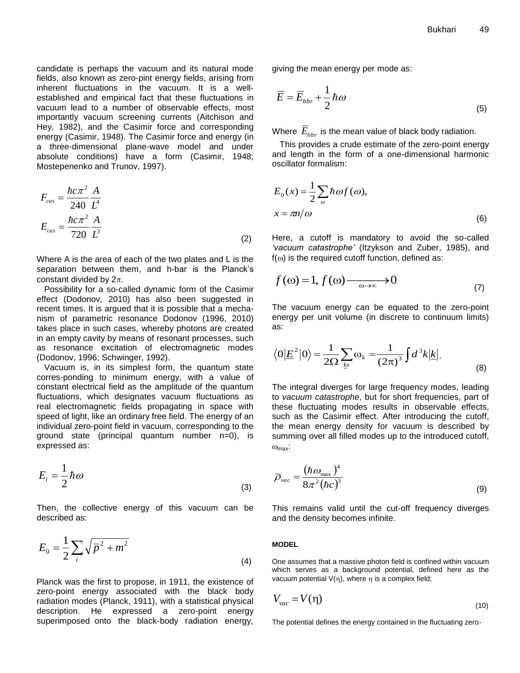candidate is perhaps the vacuum and its natural mode fields, also known as zero-pint energy fields, arising from inherent fluctuations in the vacuum. It is a wellestablished and empirical fact that these fluctuations in vacuum lead to a number of observable effects, most importantly vacuum screening currents (Aitchison and Hey, 1982), and the Casimir force and corresponding energy (Casimir, 1948). The Casimir force and energy (in a three-dimensional plane-wave model and under absolute conditions) have a form (Casimir, 1948; Mostepenenko and Trunov, 1997).

$$
F_{cas} = \frac{\hbar c \pi^2}{240} \frac{A}{L^4}
$$
  

$$
E_{cas} = \frac{\hbar c \pi^2}{720} \frac{A}{L^3}
$$
 (2)

Where A is the area of each of the two plates and L is the separation between them, and h-bar is the Planck's constant divided by  $2\pi$ .

Possibility for a so-called dynamic form of the Casimir effect (Dodonov, 2010) has also been suggested in recent times. It is argued that it is possible that a mechanism of parametric resonance Dodonov (1996, 2010) takes place in such cases, whereby photons are created in an empty cavity by means of resonant processes, such as resonance excitation of electromagnetic modes (Dodonov, 1996; Schwinger, 1992).

Vacuum is, in its simplest form, the quantum state corres-ponding to minimum energy, with a value of constant electrical field as the amplitude of the quantum fluctuations, which designates vacuum fluctuations as real electromagnetic fields propagating in space with speed of light, like an ordinary free field. The energy of an individual zero-point field in vacuum, corresponding to the ground state (principal quantum number n=0), is expressed as:

$$
E_i = \frac{1}{2}\hbar\omega\tag{3}
$$

Then, the collective energy of this vacuum can be described as:

$$
E_0 = \frac{1}{2} \sum_i \sqrt{\overline{p}^2 + m^2}
$$
 (4)

Planck was the first to propose, in 1911, the existence of zero-point energy associated with the black body radiation modes (Planck, 1911), with a statistical physical description. He expressed a zero-point energy superimposed onto the black-body radiation energy, giving the mean energy per mode as:

$$
\overline{E} = \overline{E}_{\scriptscriptstyle bbr} + \frac{1}{2} \hbar \omega \tag{5}
$$

Where  $\, \overline{E}_{bbr} \,$  is the mean value of black body radiation.

This provides a crude estimate of the zero-point energy and length in the form of a one-dimensional harmonic oscillator formalism:

$$
E_0(x) = \frac{1}{2} \sum_{\omega} \hbar \omega f(\omega),
$$
  
x = \pi n/\omega \tag{6}

Here, a cutoff is mandatory to avoid the so-called *'vacuum catastrophe'* (Itzykson and Zuber, 1985), and  $f(\omega)$  is the required cutoff function, defined as:

$$
f(\omega) = 1, f(\omega) \xrightarrow{\omega \to \infty} 0
$$
 (7)

The vacuum energy can be equated to the zero-point energy per unit volume (in discrete to continuum limits) as:

$$
\langle 0|\underline{E}^2|0\rangle = \frac{1}{2\Omega} \sum_{ks} \omega_k = \frac{1}{(2\pi)^3} \int d^3k |\underline{k}|.
$$
 (8)

The integral diverges for large frequency modes, leading to *vacuum catastrophe*, but for short frequencies, part of these fluctuating modes results in observable effects, such as the Casimir effect. After introducing the cutoff, the mean energy density for vacuum is described by summing over all filled modes up to the introduced cutoff,  $\omega_{\text{max}}$ :

$$
\overline{\rho}_{\text{vac}} = \frac{(\hbar \omega_{\text{max}})^4}{8\pi^2 (\hbar c)^3}
$$
(9)

This remains valid until the cut-off frequency diverges and the density becomes infinite.

#### **MODEL**

One assumes that a massive photon field is confined within vacuum which serves as a background potential, defined here as the vacuum potential  $V(\eta)$ , where  $\eta$  is a complex field;

$$
V_{vac} = V(\eta) \tag{10}
$$

The potential defines the energy contained in the fluctuating zero-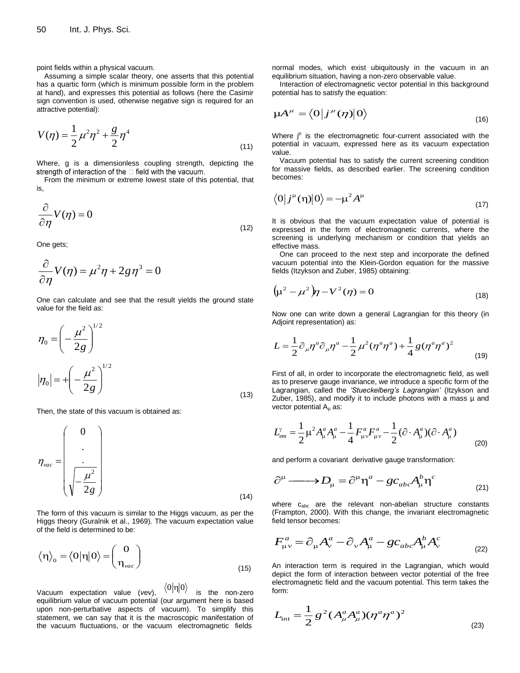point fields within a physical vacuum.

Assuming a simple scalar theory, one asserts that this potential has a quartic form (which is minimum possible form in the problem at hand), and expresses this potential as follows (here the Casimir sign convention is used, otherwise negative sign is required for an attractive potential):

$$
V(\eta) = \frac{1}{2}\mu^2 \eta^2 + \frac{g}{2}\eta^4
$$
\n(11)

Where, g is a dimensionless coupling strength, depicting the strength of interaction of the  $\Box$  field with the vacuum.

From the minimum or extreme lowest state of this potential, that is,

$$
\frac{\partial}{\partial \eta} V(\eta) = 0 \tag{12}
$$

One gets;

$$
\frac{\partial}{\partial \eta}V(\eta) = \mu^2 \eta + 2g\eta^3 = 0
$$

One can calculate and see that the result yields the ground state value for the field as:

$$
\eta_0 = \left(-\frac{\mu^2}{2g}\right)^{1/2}
$$

$$
|\eta_0| = + \left(-\frac{\mu^2}{2g}\right)^{1/2}
$$
(13)

Then, the state of this vacuum is obtained as:

$$
\eta_{\text{vac}} = \begin{pmatrix} 0 \\ . \\ . \\ \sqrt{-\frac{\mu^2}{2g}} \end{pmatrix}
$$
\n(14)

The form of this vacuum is similar to the Higgs vacuum, as per the Higgs theory (Guralnik et al., 1969). The vacuum expectation value of the field is determined to be:

$$
\langle \eta \rangle_0 = \langle 0 | \eta | 0 \rangle = \begin{pmatrix} 0 \\ \eta_{vac} \end{pmatrix}
$$
 (15)

Vacuum expectation value (*vev*),  $\langle 0 | \eta | 0 \rangle$ is the non-zero equilibrium value of vacuum potential (our argument here is based upon non-perturbative aspects of vacuum). To simplify this statement, we can say that it is the macroscopic manifestation of the vacuum fluctuations, or the vacuum electromagnetic fields

normal modes, which exist ubiquitously in the vacuum in an equilibrium situation, having a non-zero observable value.

Interaction of electromagnetic vector potential in this background potential has to satisfy the equation:

$$
\mu A^{\mu} = \langle 0 | j^{\mu} (\eta) | 0 \rangle \tag{16}
$$

Where j<sup>µ</sup> is the electromagnetic four-current associated with the potential in vacuum, expressed here as its vacuum expectation value.

Vacuum potential has to satisfy the current screening condition for massive fields, as described earlier. The screening condition becomes:

$$
\langle 0|j^{\mu}(\eta)|0\rangle = -\mu^{2}A^{\mu}
$$
 (17)

It is obvious that the vacuum expectation value of potential is expressed in the form of electromagnetic currents, where the screening is underlying mechanism or condition that yields an effective mass.

One can proceed to the next step and incorporate the defined vacuum potential into the Klein-Gordon equation for the massive fields (Itzykson and Zuber, 1985) obtaining:

$$
\left(\mu^2 - \mu^2\right)\eta - V^2(\eta) = 0\tag{18}
$$

Now one can write down a general Lagrangian for this theory (in Adjoint representation) as:

$$
L = \frac{1}{2} \partial_{\mu} \eta^{a} \partial_{\mu} \eta^{a} - \frac{1}{2} \mu^{2} (\eta^{a} \eta^{a}) + \frac{1}{4} g (\eta^{a} \eta^{a})^{2}
$$
(19)

First of all, in order to incorporate the electromagnetic field, as well as to preserve gauge invariance, we introduce a specific form of the Lagrangian, called the *'Stueckelberg's Lagrangian'* (Itzykson and Zuber, 1985), and modify it to include photons with a mass  $\mu$  and vector potential A<sub>u</sub> as:

$$
L_{em}^{\gamma} = \frac{1}{2} \mu^{2} A_{\mu}^{a} A_{\mu}^{a} - \frac{1}{4} F_{\mu\nu}^{a} F_{\mu\nu}^{a} - \frac{1}{2} (\partial \cdot A_{\mu}^{a}) (\partial \cdot A_{\mu}^{a})
$$
(20)

and perform a covariant derivative gauge transformation:

$$
\partial^{\mu} \longrightarrow D_{\mu} = \partial^{\mu} \eta^{a} - g c_{abc} A_{\mu}^{b} \eta^{c}
$$
 (21)

where c<sub>abc</sub> are the relevant non-abelian structure constants (Frampton, 2000). With this change, the invariant electromagnetic field tensor becomes:

$$
F_{\mu\nu}^a = \partial_\mu A_\nu^a - \partial_\nu A_\mu^a - g c_{abc} A_\mu^b A_\nu^c
$$
 (22)

An interaction term is required in the Lagrangian, which would depict the form of interaction between vector potential of the free electromagnetic field and the vacuum potential. This term takes the form:

$$
L_{\rm int} = \frac{1}{2} g^2 (A^a_\mu A^a_\mu) (\eta^a \eta^a)^2
$$
 (23)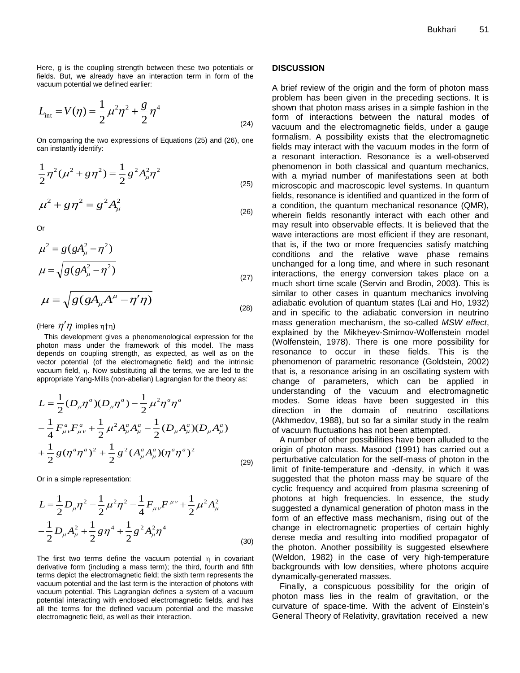Here, g is the coupling strength between these two potentials or fields. But, we already have an interaction term in form of the vacuum potential we defined earlier:

$$
L_{\text{int}} = V(\eta) = \frac{1}{2} \mu^2 \eta^2 + \frac{g}{2} \eta^4
$$
 (24)

On comparing the two expressions of Equations (25) and (26), one can instantly identify:

$$
\frac{1}{2}\eta^2(\mu^2 + g\eta^2) = \frac{1}{2}g^2A_{\mu}^2\eta^2
$$
\n(25)

$$
\mu^2 + g \eta^2 = g^2 A_\mu^2 \tag{26}
$$

Or

$$
\mu^2 = g(gA_{\mu}^2 - \eta^2) \n\mu = \sqrt{g(gA_{\mu}^2 - \eta^2)}
$$
\n(27)

$$
\mu = \sqrt{g(gA_{\mu}A^{\mu} - \eta'\eta)}
$$
\n(28)

(Here  $\eta'\eta$  implies  $\eta\!\!\uparrow\!\!\eta)$ 

This development gives a phenomenological expression for the photon mass under the framework of this model. The mass depends on coupling strength, as expected, as well as on the vector potential (of the electromagnetic field) and the intrinsic vacuum field,  $\eta$ . Now substituting all the terms, we are led to the appropriate Yang-Mills (non-abelian) Lagrangian for the theory as:

$$
L = \frac{1}{2} (D_{\mu} \eta^{a}) (D_{\mu} \eta^{a}) - \frac{1}{2} \mu^{2} \eta^{a} \eta^{a}
$$
  

$$
- \frac{1}{4} F_{\mu\nu}^{a} F_{\mu\nu}^{a} + \frac{1}{2} \mu^{2} A_{\mu}^{a} A_{\mu}^{a} - \frac{1}{2} (D_{\mu} A_{\mu}^{a}) (D_{\mu} A_{\mu}^{a})
$$
  

$$
+ \frac{1}{2} g (\eta^{a} \eta^{a})^{2} + \frac{1}{2} g^{2} (A_{\mu}^{a} A_{\mu}^{a}) (\eta^{a} \eta^{a})^{2}
$$
(29)

Or in a simple representation:

$$
L = \frac{1}{2} D_{\mu} \eta^{2} - \frac{1}{2} \mu^{2} \eta^{2} - \frac{1}{4} F_{\mu\nu} F^{\mu\nu} + \frac{1}{2} \mu^{2} A_{\mu}^{2}
$$

$$
-\frac{1}{2} D_{\mu} A_{\mu}^{2} + \frac{1}{2} g \eta^{4} + \frac{1}{2} g^{2} A_{\mu}^{2} \eta^{4}
$$
(30)

The first two terms define the vacuum potential  $\eta$  in covariant derivative form (including a mass term); the third, fourth and fifth terms depict the electromagnetic field; the sixth term represents the vacuum potential and the last term is the interaction of photons with vacuum potential. This Lagrangian defines a system of a vacuum potential interacting with enclosed electromagnetic fields, and has all the terms for the defined vacuum potential and the massive electromagnetic field, as well as their interaction.

#### **DISCUSSION**

A brief review of the origin and the form of photon mass problem has been given in the preceding sections. It is shown that photon mass arises in a simple fashion in the form of interactions between the natural modes of vacuum and the electromagnetic fields, under a gauge formalism. A possibility exists that the electromagnetic fields may interact with the vacuum modes in the form of a resonant interaction. Resonance is a well-observed phenomenon in both classical and quantum mechanics, with a myriad number of manifestations seen at both microscopic and macroscopic level systems. In quantum fields, resonance is identified and quantized in the form of a condition, the quantum mechanical resonance (QMR), wherein fields resonantly interact with each other and may result into observable effects. It is believed that the wave interactions are most efficient if they are resonant, that is, if the two or more frequencies satisfy matching conditions and the relative wave phase remains unchanged for a long time, and where in such resonant interactions, the energy conversion takes place on a much short time scale (Servin and Brodin, 2003). This is similar to other cases in quantum mechanics involving adiabatic evolution of quantum states (Lai and Ho, 1932) and in specific to the adiabatic conversion in neutrino mass generation mechanism, the so-called *MSW effect*, explained by the Mikheyev-Smirnov-Wolfenstein model (Wolfenstein, 1978). There is one more possibility for resonance to occur in these fields. This is the phenomenon of parametric resonance (Goldstein, 2002) that is, a resonance arising in an oscillating system with change of parameters, which can be applied in understanding of the vacuum and electromagnetic modes. Some ideas have been suggested in this direction in the domain of neutrino oscillations (Akhmedov, 1988), but so far a similar study in the realm of vacuum fluctuations has not been attempted.

A number of other possibilities have been alluded to the origin of photon mass. Masood (1991) has carried out a perturbative calculation for the self-mass of photon in the limit of finite-temperature and -density, in which it was suggested that the photon mass may be square of the cyclic frequency and acquired from plasma screening of photons at high frequencies. In essence, the study suggested a dynamical generation of photon mass in the form of an effective mass mechanism, rising out of the change in electromagnetic properties of certain highly dense media and resulting into modified propagator of the photon. Another possibility is suggested elsewhere (Weldon, 1982) in the case of very high-temperature backgrounds with low densities, where photons acquire dynamically-generated masses.

Finally, a conspicuous possibility for the origin of photon mass lies in the realm of gravitation, or the curvature of space-time. With the advent of Einstein's General Theory of Relativity, gravitation received a new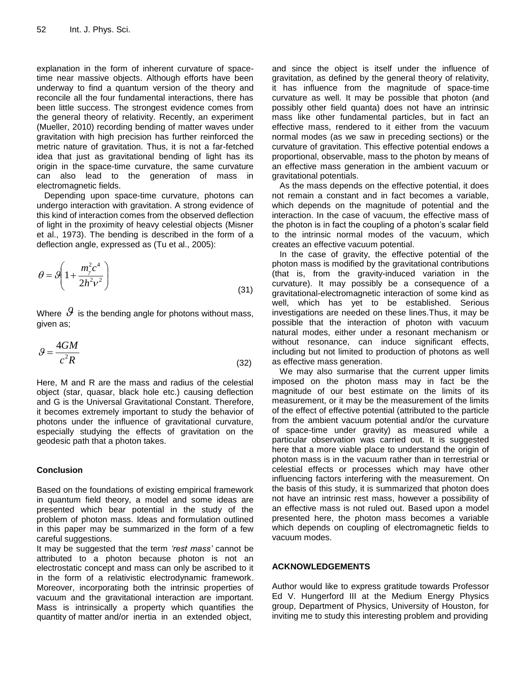explanation in the form of inherent curvature of spacetime near massive objects. Although efforts have been underway to find a quantum version of the theory and reconcile all the four fundamental interactions, there has been little success. The strongest evidence comes from the general theory of relativity. Recently, an experiment (Mueller, 2010) recording bending of matter waves under gravitation with high precision has further reinforced the metric nature of gravitation. Thus, it is not a far-fetched idea that just as gravitational bending of light has its origin in the space-time curvature, the same curvature can also lead to the generation of mass in electromagnetic fields.

Depending upon space-time curvature, photons can undergo interaction with gravitation. A strong evidence of this kind of interaction comes from the observed deflection of light in the proximity of heavy celestial objects (Misner et al., 1973). The bending is described in the form of a deflection angle, expressed as (Tu et al., 2005):

$$
\theta = \mathcal{S}\left(1 + \frac{m_{\gamma}^2 c^4}{2h^2 v^2}\right) \tag{31}
$$

Where  $\, {\mathcal{G}}\,$  is the bending angle for photons without mass, given as;

$$
\mathcal{G} = \frac{4GM}{c^2 R} \tag{32}
$$

Here, M and R are the mass and radius of the celestial object (star, quasar, black hole etc.) causing deflection and G is the Universal Gravitational Constant. Therefore, it becomes extremely important to study the behavior of photons under the influence of gravitational curvature, especially studying the effects of gravitation on the geodesic path that a photon takes.

## **Conclusion**

Based on the foundations of existing empirical framework in quantum field theory, a model and some ideas are presented which bear potential in the study of the problem of photon mass. Ideas and formulation outlined in this paper may be summarized in the form of a few careful suggestions.

It may be suggested that the term *'rest mass'* cannot be attributed to a photon because photon is not an electrostatic concept and mass can only be ascribed to it in the form of a relativistic electrodynamic framework. Moreover, incorporating both the intrinsic properties of vacuum and the gravitational interaction are important. Mass is intrinsically a property which quantifies the quantity of matter and/or inertia in an extended object,

and since the object is itself under the influence of gravitation, as defined by the general theory of relativity, it has influence from the magnitude of space-time curvature as well. It may be possible that photon (and possibly other field quanta) does not have an intrinsic mass like other fundamental particles, but in fact an effective mass, rendered to it either from the vacuum normal modes (as we saw in preceding sections) or the curvature of gravitation. This effective potential endows a proportional, observable, mass to the photon by means of an effective mass generation in the ambient vacuum or gravitational potentials.

As the mass depends on the effective potential, it does not remain a constant and in fact becomes a variable, which depends on the magnitude of potential and the interaction. In the case of vacuum, the effective mass of the photon is in fact the coupling of a photon's scalar field to the intrinsic normal modes of the vacuum, which creates an effective vacuum potential.

In the case of gravity, the effective potential of the photon mass is modified by the gravitational contributions (that is, from the gravity-induced variation in the curvature). It may possibly be a consequence of a gravitational-electromagnetic interaction of some kind as well, which has yet to be established. Serious investigations are needed on these lines.Thus, it may be possible that the interaction of photon with vacuum natural modes, either under a resonant mechanism or without resonance, can induce significant effects, including but not limited to production of photons as well as effective mass generation.

We may also surmarise that the current upper limits imposed on the photon mass may in fact be the magnitude of our best estimate on the limits of its measurement, or it may be the measurement of the limits of the effect of effective potential (attributed to the particle from the ambient vacuum potential and/or the curvature of space-time under gravity) as measured while a particular observation was carried out. It is suggested here that a more viable place to understand the origin of photon mass is in the vacuum rather than in terrestrial or celestial effects or processes which may have other influencing factors interfering with the measurement. On the basis of this study, it is summarized that photon does not have an intrinsic rest mass, however a possibility of an effective mass is not ruled out. Based upon a model presented here, the photon mass becomes a variable which depends on coupling of electromagnetic fields to vacuum modes.

# **ACKNOWLEDGEMENTS**

Author would like to express gratitude towards Professor Ed V. Hungerford III at the Medium Energy Physics group, Department of Physics, University of Houston, for inviting me to study this interesting problem and providing